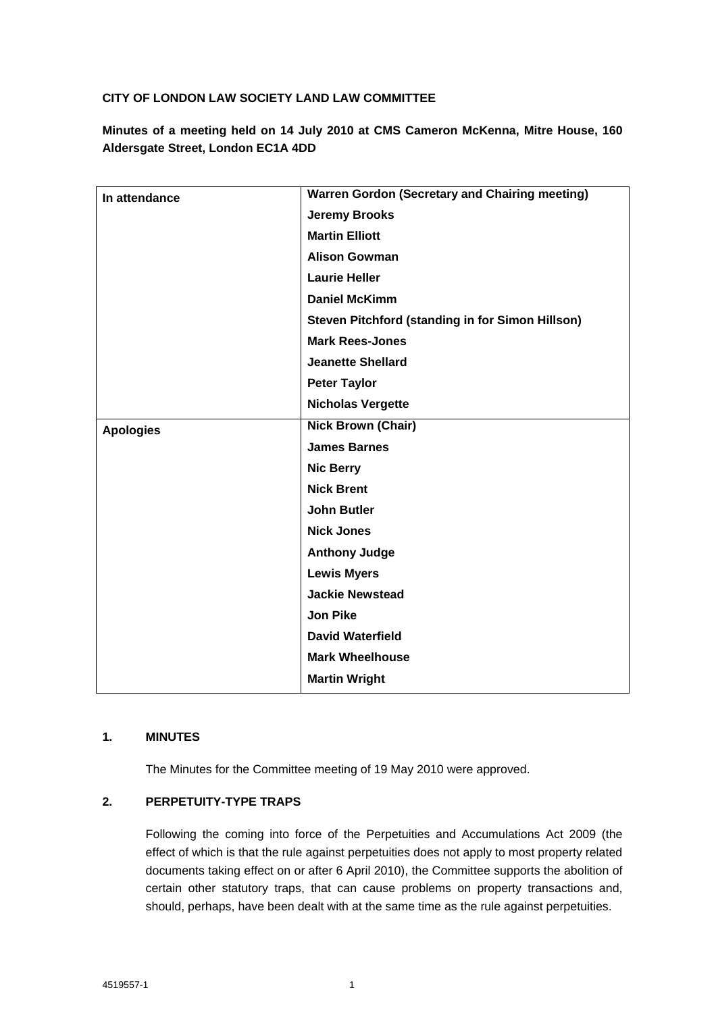## **CITY OF LONDON LAW SOCIETY LAND LAW COMMITTEE**

**Minutes of a meeting held on 14 July 2010 at CMS Cameron McKenna, Mitre House, 160 Aldersgate Street, London EC1A 4DD**

| In attendance    | <b>Warren Gordon (Secretary and Chairing meeting)</b> |
|------------------|-------------------------------------------------------|
|                  | <b>Jeremy Brooks</b>                                  |
|                  | <b>Martin Elliott</b>                                 |
|                  | <b>Alison Gowman</b>                                  |
|                  | <b>Laurie Heller</b>                                  |
|                  | <b>Daniel McKimm</b>                                  |
|                  | Steven Pitchford (standing in for Simon Hillson)      |
|                  | <b>Mark Rees-Jones</b>                                |
|                  | <b>Jeanette Shellard</b>                              |
|                  | <b>Peter Taylor</b>                                   |
|                  | <b>Nicholas Vergette</b>                              |
|                  | <b>Nick Brown (Chair)</b>                             |
| <b>Apologies</b> |                                                       |
|                  | <b>James Barnes</b>                                   |
|                  | <b>Nic Berry</b>                                      |
|                  | <b>Nick Brent</b>                                     |
|                  | <b>John Butler</b>                                    |
|                  | <b>Nick Jones</b>                                     |
|                  | <b>Anthony Judge</b>                                  |
|                  | <b>Lewis Myers</b>                                    |
|                  | <b>Jackie Newstead</b>                                |
|                  | <b>Jon Pike</b>                                       |
|                  | <b>David Waterfield</b>                               |
|                  | <b>Mark Wheelhouse</b>                                |
|                  | <b>Martin Wright</b>                                  |
|                  |                                                       |

### **1. MINUTES**

The Minutes for the Committee meeting of 19 May 2010 were approved.

# **2. PERPETUITY-TYPE TRAPS**

Following the coming into force of the Perpetuities and Accumulations Act 2009 (the effect of which is that the rule against perpetuities does not apply to most property related documents taking effect on or after 6 April 2010), the Committee supports the abolition of certain other statutory traps, that can cause problems on property transactions and, should, perhaps, have been dealt with at the same time as the rule against perpetuities.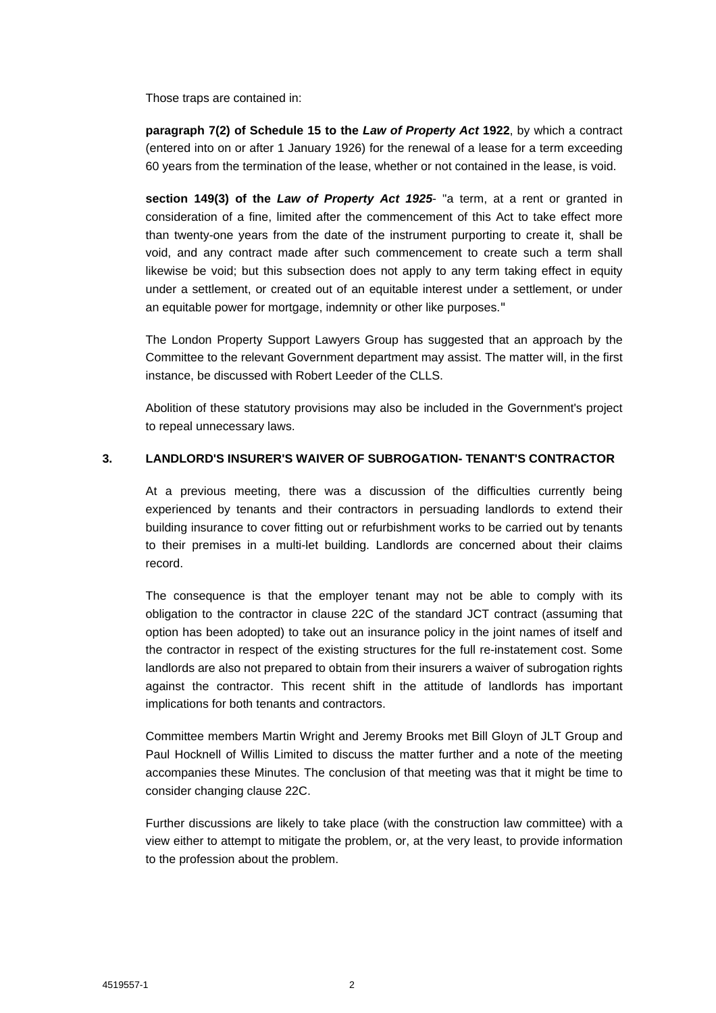Those traps are contained in:

**paragraph 7(2) of Schedule 15 to the** *Law of Property Act* **1922**, by which a contract (entered into on or after 1 January 1926) for the renewal of a lease for a term exceeding 60 years from the termination of the lease, whether or not contained in the lease, is void.

**section 149(3) of the** *Law of Property Act 1925*- "a term, at a rent or granted in consideration of a fine, limited after the commencement of this Act to take effect more than twenty-one years from the date of the instrument purporting to create it, shall be void, and any contract made after such commencement to create such a term shall likewise be void; but this subsection does not apply to any term taking effect in equity under a settlement, or created out of an equitable interest under a settlement, or under an equitable power for mortgage, indemnity or other like purposes."

The London Property Support Lawyers Group has suggested that an approach by the Committee to the relevant Government department may assist. The matter will, in the first instance, be discussed with Robert Leeder of the CLLS.

Abolition of these statutory provisions may also be included in the Government's project to repeal unnecessary laws.

### **3. LANDLORD'S INSURER'S WAIVER OF SUBROGATION- TENANT'S CONTRACTOR**

At a previous meeting, there was a discussion of the difficulties currently being experienced by tenants and their contractors in persuading landlords to extend their building insurance to cover fitting out or refurbishment works to be carried out by tenants to their premises in a multi-let building. Landlords are concerned about their claims record.

The consequence is that the employer tenant may not be able to comply with its obligation to the contractor in clause 22C of the standard JCT contract (assuming that option has been adopted) to take out an insurance policy in the joint names of itself and the contractor in respect of the existing structures for the full re-instatement cost. Some landlords are also not prepared to obtain from their insurers a waiver of subrogation rights against the contractor. This recent shift in the attitude of landlords has important implications for both tenants and contractors.

Committee members Martin Wright and Jeremy Brooks met Bill Gloyn of JLT Group and Paul Hocknell of Willis Limited to discuss the matter further and a note of the meeting accompanies these Minutes. The conclusion of that meeting was that it might be time to consider changing clause 22C.

Further discussions are likely to take place (with the construction law committee) with a view either to attempt to mitigate the problem, or, at the very least, to provide information to the profession about the problem.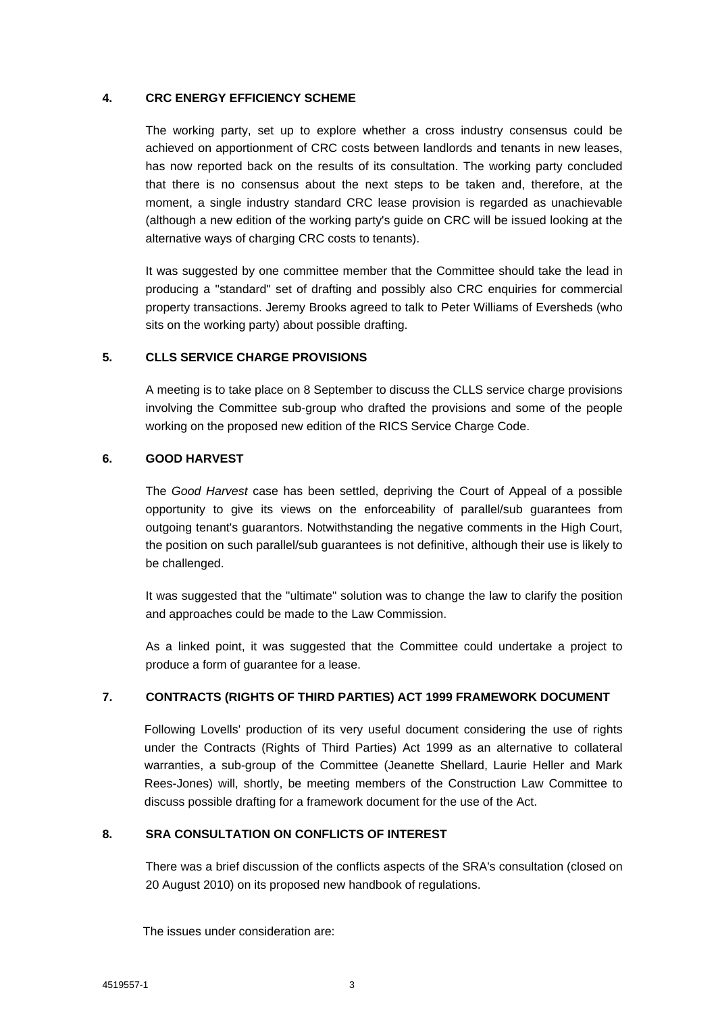### **4. CRC ENERGY EFFICIENCY SCHEME**

The working party, set up to explore whether a cross industry consensus could be achieved on apportionment of CRC costs between landlords and tenants in new leases, has now reported back on the results of its consultation. The working party concluded that there is no consensus about the next steps to be taken and, therefore, at the moment, a single industry standard CRC lease provision is regarded as unachievable (although a new edition of the working party's guide on CRC will be issued looking at the alternative ways of charging CRC costs to tenants).

It was suggested by one committee member that the Committee should take the lead in producing a "standard" set of drafting and possibly also CRC enquiries for commercial property transactions. Jeremy Brooks agreed to talk to Peter Williams of Eversheds (who sits on the working party) about possible drafting.

#### **5. CLLS SERVICE CHARGE PROVISIONS**

A meeting is to take place on 8 September to discuss the CLLS service charge provisions involving the Committee sub-group who drafted the provisions and some of the people working on the proposed new edition of the RICS Service Charge Code.

### **6. GOOD HARVEST**

The *Good Harvest* case has been settled, depriving the Court of Appeal of a possible opportunity to give its views on the enforceability of parallel/sub guarantees from outgoing tenant's guarantors. Notwithstanding the negative comments in the High Court, the position on such parallel/sub guarantees is not definitive, although their use is likely to be challenged.

It was suggested that the "ultimate" solution was to change the law to clarify the position and approaches could be made to the Law Commission.

As a linked point, it was suggested that the Committee could undertake a project to produce a form of guarantee for a lease.

### **7. CONTRACTS (RIGHTS OF THIRD PARTIES) ACT 1999 FRAMEWORK DOCUMENT**

Following Lovells' production of its very useful document considering the use of rights under the Contracts (Rights of Third Parties) Act 1999 as an alternative to collateral warranties, a sub-group of the Committee (Jeanette Shellard, Laurie Heller and Mark Rees-Jones) will, shortly, be meeting members of the Construction Law Committee to discuss possible drafting for a framework document for the use of the Act.

### **8. SRA CONSULTATION ON CONFLICTS OF INTEREST**

There was a brief discussion of the conflicts aspects of the SRA's consultation (closed on 20 August 2010) on its proposed new handbook of regulations.

The issues under consideration are: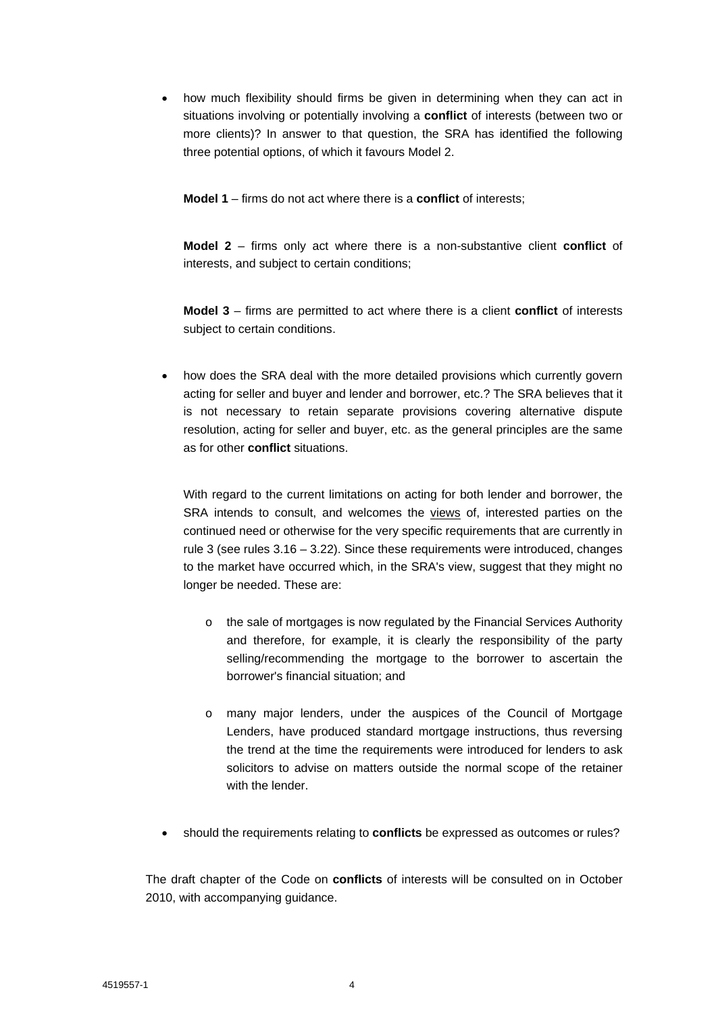• how much flexibility should firms be given in determining when they can act in situations involving or potentially involving a **conflict** of interests (between two or more clients)? In answer to that question, the SRA has identified the following three potential options, of which it favours Model 2.

**Model 1** – firms do not act where there is a **conflict** of interests;

**Model 2** – firms only act where there is a non-substantive client **conflict** of interests, and subject to certain conditions;

**Model 3** – firms are permitted to act where there is a client **conflict** of interests subject to certain conditions.

• how does the SRA deal with the more detailed provisions which currently govern acting for seller and buyer and lender and borrower, etc.? The SRA believes that it is not necessary to retain separate provisions covering alternative dispute resolution, acting for seller and buyer, etc. as the general principles are the same as for other **conflict** situations.

With regard to the current limitations on acting for both lender and borrower, the SRA intends to consult, and welcomes the views of, interested parties on the continued need or otherwise for the very specific requirements that are currently in rule 3 (see rules 3.16 – 3.22). Since these requirements were introduced, changes to the market have occurred which, in the SRA's view, suggest that they might no longer be needed. These are:

- o the sale of mortgages is now regulated by the Financial Services Authority and therefore, for example, it is clearly the responsibility of the party selling/recommending the mortgage to the borrower to ascertain the borrower's financial situation; and
- o many major lenders, under the auspices of the Council of Mortgage Lenders, have produced standard mortgage instructions, thus reversing the trend at the time the requirements were introduced for lenders to ask solicitors to advise on matters outside the normal scope of the retainer with the lender
- should the requirements relating to **conflicts** be expressed as outcomes or rules?

The draft chapter of the Code on **conflicts** of interests will be consulted on in October 2010, with accompanying guidance.